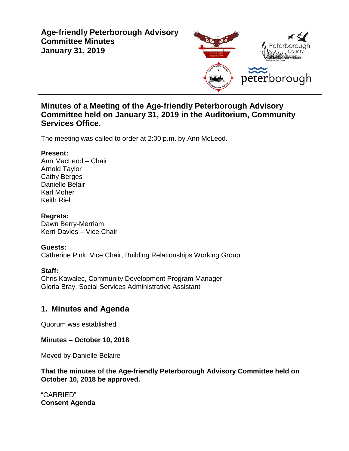# **Age-friendly Peterborough Advisory Committee Minutes January 31, 2019**



## **Minutes of a Meeting of the Age-friendly Peterborough Advisory Committee held on January 31, 2019 in the Auditorium, Community Services Office.**

The meeting was called to order at 2:00 p.m. by Ann McLeod.

### **Present:**

Ann MacLeod – Chair Arnold Taylor Cathy Berges Danielle Belair Karl Moher Keith Riel

### **Regrets:**

Dawn Berry-Merriam Kerri Davies – Vice Chair

### **Guests:**

Catherine Pink, Vice Chair, Building Relationships Working Group

### **Staff:**

Chris Kawalec, Community Development Program Manager Gloria Bray, Social Services Administrative Assistant

# **1. Minutes and Agenda**

Quorum was established

**Minutes – October 10, 2018**

Moved by Danielle Belaire

**That the minutes of the Age-friendly Peterborough Advisory Committee held on October 10, 2018 be approved.**

"CARRIED" **Consent Agenda**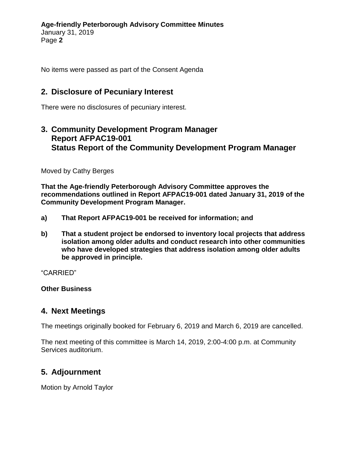No items were passed as part of the Consent Agenda

# **2. Disclosure of Pecuniary Interest**

There were no disclosures of pecuniary interest.

# **3. Community Development Program Manager Report AFPAC19-001 Status Report of the Community Development Program Manager**

Moved by Cathy Berges

**That the Age-friendly Peterborough Advisory Committee approves the recommendations outlined in Report AFPAC19-001 dated January 31, 2019 of the Community Development Program Manager.**

- **a) That Report AFPAC19-001 be received for information; and**
- **b) That a student project be endorsed to inventory local projects that address isolation among older adults and conduct research into other communities who have developed strategies that address isolation among older adults be approved in principle.**

"CARRIED"

**Other Business**

# **4. Next Meetings**

The meetings originally booked for February 6, 2019 and March 6, 2019 are cancelled.

The next meeting of this committee is March 14, 2019, 2:00-4:00 p.m. at Community Services auditorium.

## **5. Adjournment**

Motion by Arnold Taylor